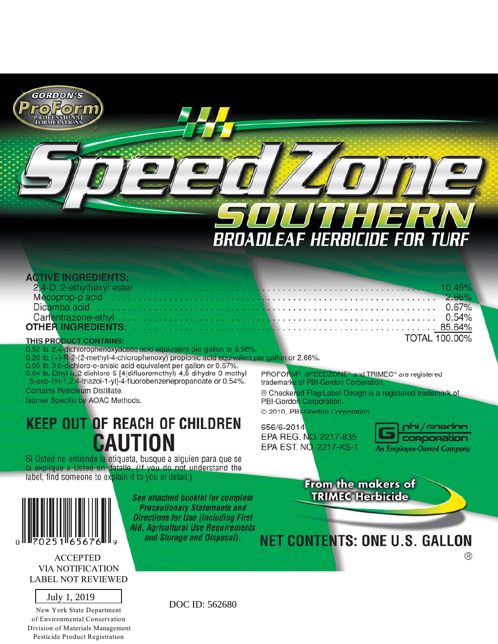

#### **ACTIVE INGREDIENTS:** 2,4-D, 2-ethylhexyl ester . . . 10.49% 2.66%  $0.67%$  $0.54%$ **OTHER INGREDIENTS** <u> Data beras a sera del termina de la provincia de </u> TOTAL 100.00% **THIS PRODUCT CONTAINS:**

0.52 lb. 2,4-dichlorophenoxyacetic acid equivalent per gallon or 6.96%. 0.20 lb. (+)-R-2-(2-methyl-4-chlorophenoxy) propionic acid equivalent per gallon or 2.66%.

0.05 lb. 3,6-dichloro-o-anisic acid equivalent per gallon or 0.67%.

0.04 lb. Ethyl  $\alpha$ , 2-dichloro-5-[4(difluoromethyl)-4, 5-dihydro-3-methyl-<br>5-oxo-1H-1, 2, 4-triazol-1-yl]-4-fluorobenzenepropanoate or 0.54%.

Contains Petroleum Distillate.

**GORDON'S**  $70\frac{5}{20}$ 

Isomer Specific by AOAC Methods.

# **KEEP OUT OF REACH OF CHILDREN CAUTION**

Si Usted no entiende la etiqueta, busque a alguien para que se la explique a Usted en detaile. (If you do not understand the label, find someone to explain it to you in detail.)



**ACCEPTED VIA NOTIFICATION LABEL NOT REVIEWED** 

July 1, 2019

New York State Department of Environmental Conservation Division of Materials Management Pesticide Product Registration

See attached booklet for complete **Precautionary Statements and Directions for Use (including First Aid, Agricultural Use Requirements** and Storage and Disposal).

PROFORM<sup>®</sup>, SPEEDZONE<sup>®</sup> and TRIMEC<sup>®</sup> are registered trademarks of PBI-Gordon Corporation

® Checkered Flag/Label Design is a registered trademark of PBI-Gordon Corporation.

© 2010, PBI-Gordon Corporation.

656/6-2014 EPA REG. NO. 2217-835 EPA EST. NO. 2217-KS-1



## From the makers of **TRIMEC** Herbicide

# **NET CONTENTS: ONE U.S. GALLON**

®

DOC ID: 562680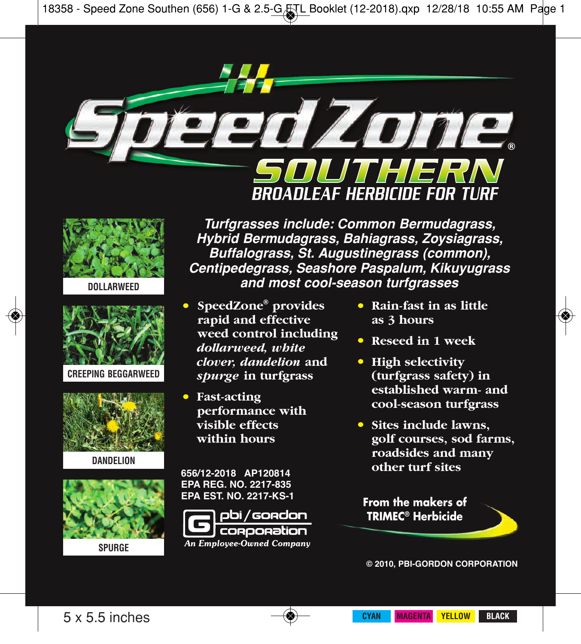



**DOLLARWEED**



**CREEPING BEGGARWEED**



**DANDELION**



**SPURGE**

*Turfgrasses include: Common Bermudagrass, Hybrid Bermudagrass, Bahiagrass, Zoysiagrass, Buffalograss, St. Augustinegrass (common), Centipedegrass, Seashore Paspalum, Kikuyugrass and most cool-season turfgrasses*

- **• SpeedZone® provides rapid and effective weed control including** *dollarweed, white clover, dandelion* **and** *spurge* **in turfgrass**
- **• Fast-acting performance with visible effects within hours**

**656/12-2018 AP120814 EPA REG. NO. 2217-835 EPA EST. NO. 2217-KS-1**



- **• Rain-fast in as little as 3 hours**
- **• Reseed in 1 week**
- **• High selectivity (turfgrass safety) in established warm- and cool-season turfgrass**
- **• Sites include lawns, golf courses, sod farms, roadsides and many other turf sites**

**From the makers of TRIMEC® Herbicide**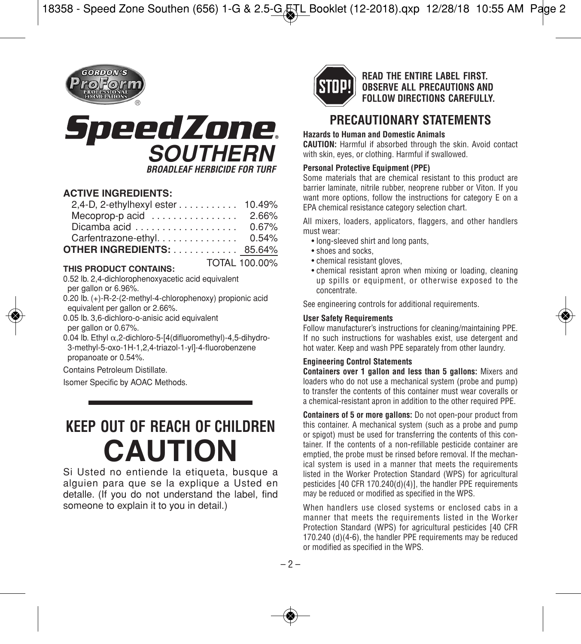



#### **ACTIVE INGREDIENTS:**

| 2,4-D, 2-ethylhexyl ester $\ldots \ldots \ldots$ 10.49% |       |
|---------------------------------------------------------|-------|
| Mecoprop-p acid $\ldots \ldots \ldots \ldots$           | 2.66% |
|                                                         | 0.67% |
| Carfentrazone-ethyl.                                    | 0.54% |
| <b>OTHER INGREDIENTS:</b> 85.64%                        |       |

## TOTAL 100.00% **THIS PRODUCT CONTAINS:**

0.52 lb. 2,4-dichlorophenoxyacetic acid equivalent

per gallon or 6.96%.

0.20 lb. (+)-R-2-(2-methyl-4-chlorophenoxy) propionic acid equivalent per gallon or 2.66%.

0.05 lb. 3,6-dichloro-o-anisic acid equivalent per gallon or 0.67%.

0.04 lb. Ethyl  $\alpha$ , 2-dichloro-5-[4(difluoromethyl)-4,5-dihydro-3-methyl-5-oxo-1H-1,2,4-triazol-1-yl]-4-fluorobenzene propanoate or 0.54%.

Contains Petroleum Distillate.

Isomer Specific by AOAC Methods.

## **KEEP OUT OF REACH OF CHILDREN CAUTION**

Si Usted no entiende la etiqueta, busque a alguien para que se la explique a Usted en detalle. (If you do not understand the label, find someone to explain it to you in detail.)



#### **READ THE ENTIRE LABEL FIRST. OBSERVE ALL PRECAUTIONS AND FOLLOW DIRECTIONS CAREFULLY.**

## **PRECAUTIONARY STATEMENTS**

#### **Hazards to Human and Domestic Animals**

**CAUTION:** Harmful if absorbed through the skin. Avoid contact with skin, eyes, or clothing. Harmful if swallowed.

#### **Personal Protective Equipment (PPE)**

Some materials that are chemical resistant to this product are barrier laminate, nitrile rubber, neoprene rubber or Viton. If you want more options, follow the instructions for category E on a EPA chemical resistance category selection chart.

All mixers, loaders, applicators, flaggers, and other handlers must wear:

- long-sleeved shirt and long pants,
- shoes and socks.
- chemical resistant gloves,
- chemical resistant apron when mixing or loading, cleaning up spills or equipment, or otherwise exposed to the concentrate.

See engineering controls for additional requirements.

#### **User Safety Requirements**

Follow manufacturer's instructions for cleaning/maintaining PPE. If no such instructions for washables exist, use detergent and hot water. Keep and wash PPE separately from other laundry.

#### **Engineering Control Statements**

**Containers over 1 gallon and less than 5 gallons:** Mixers and loaders who do not use a mechanical system (probe and pump) to transfer the contents of this container must wear coveralls or a chemical-resistant apron in addition to the other required PPE.

**Containers of 5 or more gallons:** Do not open-pour product from this container. A mechanical system (such as a probe and pump or spigot) must be used for transferring the contents of this container. If the contents of a non-refillable pesticide container are emptied, the probe must be rinsed before removal. If the mechanical system is used in a manner that meets the requirements listed in the Worker Protection Standard (WPS) for agricultural pesticides [40 CFR 170.240(d)(4)], the handler PPE requirements may be reduced or modified as specified in the WPS.

When handlers use closed systems or enclosed cabs in a manner that meets the requirements listed in the Worker Protection Standard (WPS) for agricultural pesticides [40 CFR 170.240 (d)(4-6), the handler PPE requirements may be reduced or modified as specified in the WPS.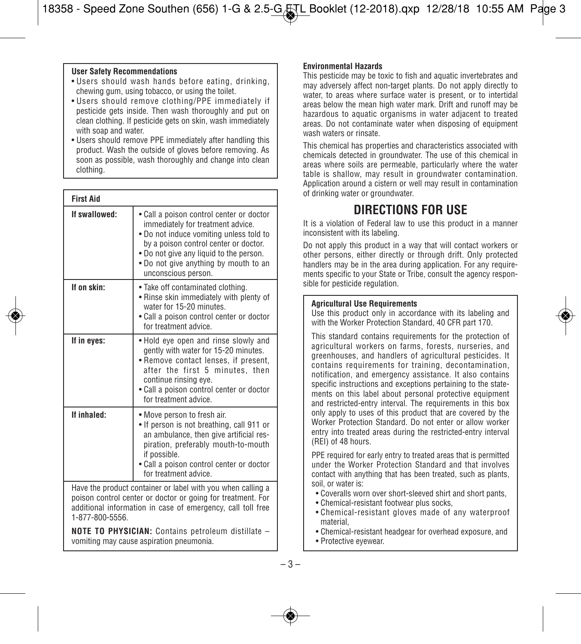#### **User Safety Recommendations**

- Users should wash hands before eating, drinking, chewing gum, using tobacco, or using the toilet.
- Users should remove clothing/PPE immediately if pesticide gets inside. Then wash thoroughly and put on clean clothing. If pesticide gets on skin, wash immediately with soap and water.
- Users should remove PPE immediately after handling this product. Wash the outside of gloves before removing. As soon as possible, wash thoroughly and change into clean clothing.

| <b>First Aid</b>                                                                                                           |                                                                                                                                                                                                                                                                              |  |
|----------------------------------------------------------------------------------------------------------------------------|------------------------------------------------------------------------------------------------------------------------------------------------------------------------------------------------------------------------------------------------------------------------------|--|
| If swallowed:                                                                                                              | • Call a poison control center or doctor<br>immediately for treatment advice.<br>. Do not induce vomiting unless told to<br>by a poison control center or doctor.<br>. Do not give any liquid to the person.<br>. Do not give anything by mouth to an<br>unconscious person. |  |
| If on skin:                                                                                                                | • Take off contaminated clothing.<br>• Rinse skin immediately with plenty of<br>water for 15-20 minutes.<br>• Call a poison control center or doctor<br>for treatment advice                                                                                                 |  |
| If in eyes:                                                                                                                | . Hold eye open and rinse slowly and<br>gently with water for 15-20 minutes.<br>• Remove contact lenses, if present,<br>after the first 5 minutes, then<br>continue rinsing eye.<br>. Call a poison control center or doctor<br>for treatment advice.                        |  |
| If inhaled:                                                                                                                | • Move person to fresh air.<br>• If person is not breathing, call 911 or<br>an ambulance, then give artificial res-<br>piration, preferably mouth-to-mouth<br>if possible.<br>· Call a poison control center or doctor<br>for treatment advice.                              |  |
| Have the product container or label with you when calling a<br>poison control center or doctor or going for treatment. For |                                                                                                                                                                                                                                                                              |  |

additional information in case of emergency, call toll free 1-877-800-5556.

**NOTE TO PHYSICIAN:** Contains petroleum distillate – vomiting may cause aspiration pneumonia.

#### **Environmental Hazards**

This pesticide may be toxic to fish and aquatic invertebrates and may adversely affect non-target plants. Do not apply directly to water, to areas where surface water is present, or to intertidal areas below the mean high water mark. Drift and runoff may be hazardous to aquatic organisms in water adjacent to treated areas. Do not contaminate water when disposing of equipment wash waters or rinsate.

This chemical has properties and characteristics associated with chemicals detected in groundwater. The use of this chemical in areas where soils are permeable, particularly where the water table is shallow, may result in groundwater contamination. Application around a cistern or well may result in contamination of drinking water or groundwater.

### **DIRECTIONS FOR USE**

It is a violation of Federal law to use this product in a manner inconsistent with its labeling.

Do not apply this product in a way that will contact workers or other persons, either directly or through drift. Only protected handlers may be in the area during application. For any requirements specific to your State or Tribe, consult the agency responsible for pesticide regulation.

#### **Agricultural Use Requirements**

Use this product only in accordance with its labeling and with the Worker Protection Standard, 40 CFR part 170.

This standard contains requirements for the protection of agricultural workers on farms, forests, nurseries, and greenhouses, and handlers of agricultural pesticides. It contains requirements for training, decontamination, notification, and emergency assistance. It also contains specific instructions and exceptions pertaining to the statements on this label about personal protective equipment and restricted-entry interval. The requirements in this box only apply to uses of this product that are covered by the Worker Protection Standard. Do not enter or allow worker entry into treated areas during the restricted-entry interval (REI) of 48 hours.

PPE required for early entry to treated areas that is permitted under the Worker Protection Standard and that involves contact with anything that has been treated, such as plants, soil, or water is:

- Coveralls worn over short-sleeved shirt and short pants,
- Chemical-resistant footwear plus socks,
- Chemical-resistant gloves made of any waterproof material,
- Chemical-resistant headgear for overhead exposure, and
- Protective eyewear.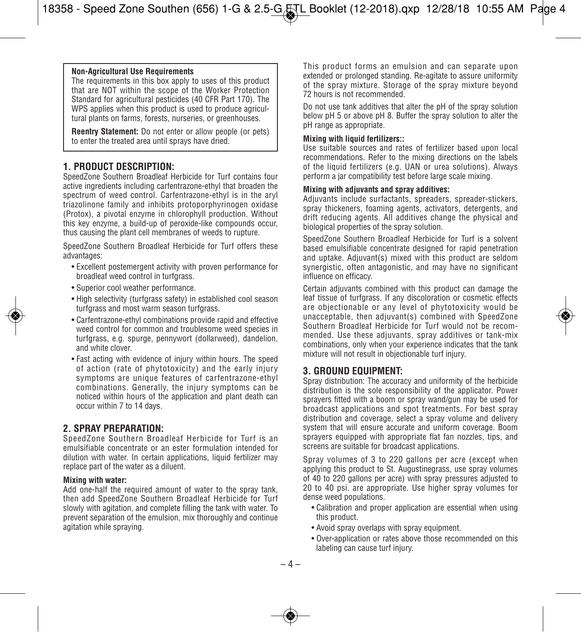#### **Non-Agricultural Use Requirements**

The requirements in this box apply to uses of this product that are NOT within the scope of the Worker Protection Standard for agricultural pesticides (40 CFR Part 170). The WPS applies when this product is used to produce agricultural plants on farms, forests, nurseries, or greenhouses.

**Reentry Statement:** Do not enter or allow people (or pets) to enter the treated area until sprays have dried.

#### **1. PRODUCT DESCRIPTION:**

SpeedZone Southern Broadleaf Herbicide for Turf contains four active ingredients including carfentrazone-ethyl that broaden the spectrum of weed control. Carfentrazone-ethyl is in the aryl triazolinone family and inhibits protoporphyrinogen oxidase (Protox), a pivotal enzyme in chlorophyll production. Without this key enzyme, a build-up of peroxide-like compounds occur, thus causing the plant cell membranes of weeds to rupture.

SpeedZone Southern Broadleaf Herbicide for Turf offers these advantages:

- Excellent postemergent activity with proven performance for broadleaf weed control in turfgrass.
- Superior cool weather performance.
- High selectivity (turfgrass safety) in established cool season turfgrass and most warm season turfgrass.
- Carfentrazone-ethyl combinations provide rapid and effective weed control for common and troublesome weed species in turfgrass, e.g. spurge, pennywort (dollarweed), dandelion, and white clover.
- Fast acting with evidence of injury within hours. The speed of action (rate of phytotoxicity) and the early injury symptoms are unique features of carfentrazone-ethyl combinations. Generally, the injury symptoms can be noticed within hours of the application and plant death can occur within 7 to 14 days.

#### **2. SPRAY PREPARATION:**

SpeedZone Southern Broadleaf Herbicide for Turf is an emulsifiable concentrate or an ester formulation intended for dilution with water. In certain applications, liquid fertilizer may replace part of the water as a diluent.

#### **Mixing with water:**

Add one-half the required amount of water to the spray tank, then add SpeedZone Southern Broadleaf Herbicide for Turf slowly with agitation, and complete filling the tank with water. To prevent separation of the emulsion, mix thoroughly and continue agitation while spraying.

This product forms an emulsion and can separate upon extended or prolonged standing. Re-agitate to assure uniformity of the spray mixture. Storage of the spray mixture beyond 72 hours is not recommended.

Do not use tank additives that alter the pH of the spray solution below pH 5 or above pH 8. Buffer the spray solution to alter the pH range as appropriate.

#### **Mixing with liquid fertilizers::**

Use suitable sources and rates of fertilizer based upon local recommendations. Refer to the mixing directions on the labels of the liquid fertilizers (e.g. UAN or urea solutions). Always perform a jar compatibility test before large scale mixing.

#### **Mixing with adjuvants and spray additives:**

Adjuvants include surfactants, spreaders, spreader-stickers, spray thickeners, foaming agents, activators, detergents, and drift reducing agents. All additives change the physical and biological properties of the spray solution.

SpeedZone Southern Broadleaf Herbicide for Turf is a solvent based emulsifiable concentrate designed for rapid penetration and uptake. Adjuvant(s) mixed with this product are seldom synergistic, often antagonistic, and may have no significant influence on efficacy.

Certain adjuvants combined with this product can damage the leaf tissue of turfgrass. If any discoloration or cosmetic effects are objectionable or any level of phytotoxicity would be unacceptable, then adjuvant(s) combined with SpeedZone Southern Broadleaf Herbicide for Turf would not be recommended. Use these adjuvants, spray additives or tank-mix combinations, only when your experience indicates that the tank mixture will not result in objectionable turf injury.

#### **3. GROUND EQUIPMENT:**

Spray distribution: The accuracy and uniformity of the herbicide distribution is the sole responsibility of the applicator. Power sprayers fitted with a boom or spray wand/gun may be used for broadcast applications and spot treatments. For best spray distribution and coverage, select a spray volume and delivery system that will ensure accurate and uniform coverage. Boom sprayers equipped with appropriate flat fan nozzles, tips, and screens are suitable for broadcast applications.

Spray volumes of 3 to 220 gallons per acre (except when applying this product to St. Augustinegrass, use spray volumes of 40 to 220 gallons per acre) with spray pressures adjusted to 20 to 40 psi. are appropriate. Use higher spray volumes for dense weed populations.

- Calibration and proper application are essential when using this product.
- Avoid spray overlaps with spray equipment.
- Over-application or rates above those recommended on this labeling can cause turf injury.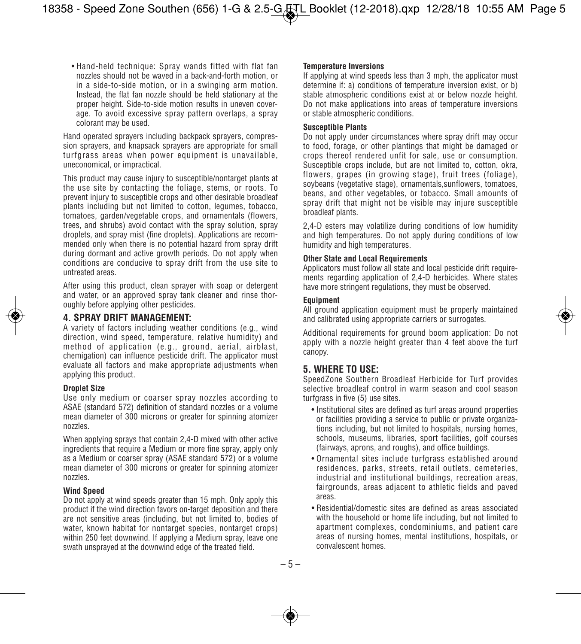• Hand-held technique: Spray wands fitted with flat fan nozzles should not be waved in a back-and-forth motion, or in a side-to-side motion, or in a swinging arm motion. Instead, the flat fan nozzle should be held stationary at the proper height. Side-to-side motion results in uneven coverage. To avoid excessive spray pattern overlaps, a spray colorant may be used.

Hand operated sprayers including backpack sprayers, compression sprayers, and knapsack sprayers are appropriate for small turfgrass areas when power equipment is unavailable, uneconomical, or impractical.

This product may cause injury to susceptible/nontarget plants at the use site by contacting the foliage, stems, or roots. To prevent injury to susceptible crops and other desirable broadleaf plants including but not limited to cotton, legumes, tobacco, tomatoes, garden/vegetable crops, and ornamentals (flowers, trees, and shrubs) avoid contact with the spray solution, spray droplets, and spray mist (fine droplets). Applications are recommended only when there is no potential hazard from spray drift during dormant and active growth periods. Do not apply when conditions are conducive to spray drift from the use site to untreated areas.

After using this product, clean sprayer with soap or detergent and water, or an approved spray tank cleaner and rinse thoroughly before applying other pesticides.

#### **4. SPRAY DRIFT MANAGEMENT:**

A variety of factors including weather conditions (e.g., wind direction, wind speed, temperature, relative humidity) and method of application (e.g., ground, aerial, airblast, chemigation) can influence pesticide drift. The applicator must evaluate all factors and make appropriate adjustments when applying this product.

#### **Droplet Size**

Use only medium or coarser spray nozzles according to ASAE (standard 572) definition of standard nozzles or a volume mean diameter of 300 microns or greater for spinning atomizer nozzles.

When applying sprays that contain 2,4-D mixed with other active ingredients that require a Medium or more fine spray, apply only as a Medium or coarser spray (ASAE standard 572) or a volume mean diameter of 300 microns or greater for spinning atomizer nozzles.

#### **Wind Speed**

Do not apply at wind speeds greater than 15 mph. Only apply this product if the wind direction favors on-target deposition and there are not sensitive areas (including, but not limited to, bodies of water, known habitat for nontarget species, nontarget crops) within 250 feet downwind. If applying a Medium spray, leave one swath unsprayed at the downwind edge of the treated field.

#### **Temperature Inversions**

If applying at wind speeds less than 3 mph, the applicator must determine if: a) conditions of temperature inversion exist, or b) stable atmospheric conditions exist at or below nozzle height. Do not make applications into areas of temperature inversions or stable atmospheric conditions.

#### **Susceptible Plants**

Do not apply under circumstances where spray drift may occur to food, forage, or other plantings that might be damaged or crops thereof rendered unfit for sale, use or consumption. Susceptible crops include, but are not limited to, cotton, okra, flowers, grapes (in growing stage), fruit trees (foliage), soybeans (vegetative stage), ornamentals,sunflowers, tomatoes, beans, and other vegetables, or tobacco. Small amounts of spray drift that might not be visible may injure susceptible broadleaf plants.

2,4-D esters may volatilize during conditions of low humidity and high temperatures. Do not apply during conditions of low humidity and high temperatures.

#### **Other State and Local Requirements**

Applicators must follow all state and local pesticide drift requirements regarding application of 2.4-D herbicides. Where states have more stringent regulations, they must be observed.

#### **Equipment**

All ground application equipment must be properly maintained and calibrated using appropriate carriers or surrogates.

Additional requirements for ground boom application: Do not apply with a nozzle height greater than 4 feet above the turf canopy.

#### **5. WHERE TO USE:**

SpeedZone Southern Broadleaf Herbicide for Turf provides selective broadleaf control in warm season and cool season turfgrass in five (5) use sites.

- Institutional sites are defined as turf areas around properties or facilities providing a service to public or private organizations including, but not limited to hospitals, nursing homes, schools, museums, libraries, sport facilities, golf courses (fairways, aprons, and roughs), and office buildings.
- Ornamental sites include turfgrass established around residences, parks, streets, retail outlets, cemeteries, industrial and institutional buildings, recreation areas, fairgrounds, areas adjacent to athletic fields and paved areas.
- Residential/domestic sites are defined as areas associated with the household or home life including, but not limited to apartment complexes, condominiums, and patient care areas of nursing homes, mental institutions, hospitals, or convalescent homes.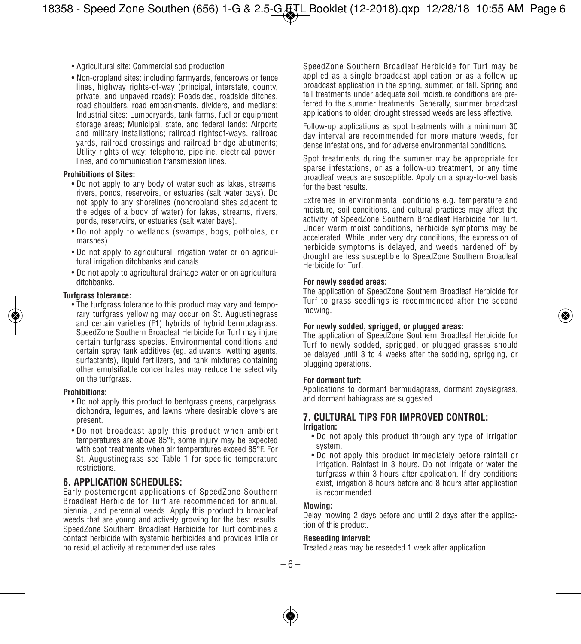- Agricultural site: Commercial sod production
- Non-cropland sites: including farmyards, fencerows or fence lines, highway rights-of-way (principal, interstate, county, private, and unpaved roads): Roadsides, roadside ditches, road shoulders, road embankments, dividers, and medians; Industrial sites: Lumberyards, tank farms, fuel or equipment storage areas; Municipal, state, and federal lands: Airports and military installations; railroad rightsof-ways, railroad yards, railroad crossings and railroad bridge abutments; Utility rights-of-way: telephone, pipeline, electrical powerlines, and communication transmission lines.

#### **Prohibitions of Sites:**

- Do not apply to any body of water such as lakes, streams, rivers, ponds, reservoirs, or estuaries (salt water bays). Do not apply to any shorelines (noncropland sites adjacent to the edges of a body of water) for lakes, streams, rivers, ponds, reservoirs, or estuaries (salt water bays).
- Do not apply to wetlands (swamps, bogs, potholes, or marshes).
- Do not apply to agricultural irrigation water or on agricultural irrigation ditchbanks and canals.
- Do not apply to agricultural drainage water or on agricultural ditchbanks<sup>1</sup>

#### **Turfgrass tolerance:**

• The turforass tolerance to this product may vary and temporary turfgrass yellowing may occur on St. Augustinegrass and certain varieties (F1) hybrids of hybrid bermudagrass. SpeedZone Southern Broadleaf Herbicide for Turf may injure certain turfgrass species. Environmental conditions and certain spray tank additives (eg. adjuvants, wetting agents, surfactants), liquid fertilizers, and tank mixtures containing other emulsifiable concentrates may reduce the selectivity on the turforass.

#### **Prohibitions:**

- Do not apply this product to bentgrass greens, carpetgrass, dichondra, legumes, and lawns where desirable clovers are present.
- Do not broadcast apply this product when ambient temperatures are above 85°F, some injury may be expected with spot treatments when air temperatures exceed 85°F. For St. Augustinegrass see Table 1 for specific temperature restrictions.

#### **6. APPLICATION SCHEDULES:**

Early postemergent applications of SpeedZone Southern Broadleaf Herbicide for Turf are recommended for annual, biennial, and perennial weeds. Apply this product to broadleaf weeds that are young and actively growing for the best results. SpeedZone Southern Broadleaf Herbicide for Turf combines a contact herbicide with systemic herbicides and provides little or no residual activity at recommended use rates.

SpeedZone Southern Broadleaf Herbicide for Turf may be applied as a single broadcast application or as a follow-up broadcast application in the spring, summer, or fall. Spring and fall treatments under adequate soil moisture conditions are preferred to the summer treatments. Generally, summer broadcast applications to older, drought stressed weeds are less effective.

Follow-up applications as spot treatments with a minimum 30 day interval are recommended for more mature weeds, for dense infestations, and for adverse environmental conditions.

Spot treatments during the summer may be appropriate for sparse infestations, or as a follow-up treatment, or any time broadleaf weeds are susceptible. Apply on a spray-to-wet basis for the best results.

Extremes in environmental conditions e.g. temperature and moisture, soil conditions, and cultural practices may affect the activity of SpeedZone Southern Broadleaf Herbicide for Turf. Under warm moist conditions, herbicide symptoms may be accelerated. While under very dry conditions, the expression of herbicide symptoms is delayed, and weeds hardened off by drought are less susceptible to SpeedZone Southern Broadleaf Herbicide for Turf.

#### **For newly seeded areas:**

The application of SpeedZone Southern Broadleaf Herbicide for Turf to grass seedlings is recommended after the second mowing.

#### **For newly sodded, sprigged, or plugged areas:**

The application of SpeedZone Southern Broadleaf Herbicide for Turf to newly sodded, sprigged, or plugged grasses should be delayed until 3 to 4 weeks after the sodding, sprigging, or plugging operations.

#### **For dormant turf:**

Applications to dormant bermudagrass, dormant zoysiagrass, and dormant bahiagrass are suggested.

### **7. CULTURAL TIPS FOR IMPROVED CONTROL:**

#### **Irrigation:**

- Do not apply this product through any type of irrigation system.
- Do not apply this product immediately before rainfall or irrigation. Rainfast in 3 hours. Do not irrigate or water the turfgrass within 3 hours after application. If dry conditions exist, irrigation 8 hours before and 8 hours after application is recommended.

#### **Mowing:**

Delay mowing 2 days before and until 2 days after the application of this product.

#### **Reseeding interval:**

Treated areas may be reseeded 1 week after application.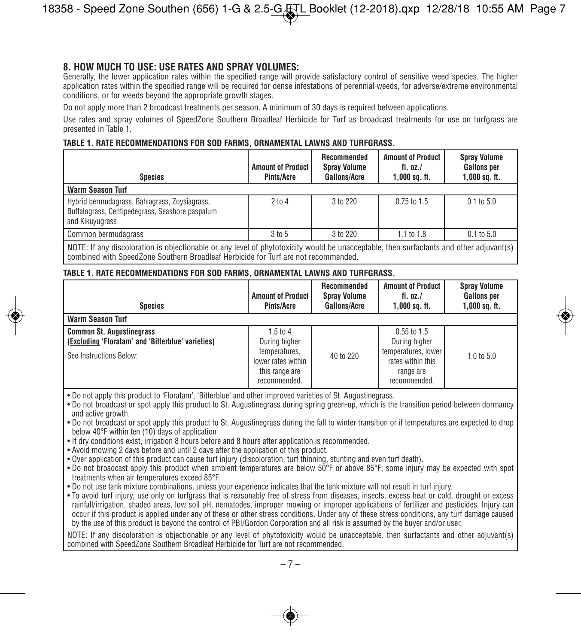#### **8. HOW MUCH TO USE: USE RATES AND SPRAY VOLUMES:**

Generally, the lower application rates within the specified range will provide satisfactory control of sensitive weed species. The higher application rates within the specified range will be required for dense infestations of perennial weeds, for adverse/extreme environmental conditions, or for weeds beyond the appropriate growth stages.

Do not apply more than 2 broadcast treatments per season. A minimum of 30 days is required between applications.

Use rates and spray volumes of SpeedZone Southern Broadleaf Herbicide for Turf as broadcast treatments for use on turfgrass are presented in Table 1.

#### **TABLE 1. RATE RECOMMENDATIONS FOR SOD FARMS, ORNAMENTAL LAWNS AND TURFGRASS.**

| <b>Species</b>                                                                                                                              | <b>Amount of Product  </b><br>Pints/Acre | Recommended<br><b>Spray Volume</b><br><b>Gallons/Acre</b> | <b>Amount of Product</b><br>fl. $oz.$<br>$1,000$ sq. ft. | <b>Spray Volume</b><br><b>Gallons per</b><br>$1,000$ sq. ft. |
|---------------------------------------------------------------------------------------------------------------------------------------------|------------------------------------------|-----------------------------------------------------------|----------------------------------------------------------|--------------------------------------------------------------|
| Warm Season Turf                                                                                                                            |                                          |                                                           |                                                          |                                                              |
| Hybrid bermudagrass, Bahiagrass, Zoysiagrass,<br>Buffalograss, Centipedegrass, Seashore paspalum<br>and Kikuyugrass                         | $2$ to $4$                               | 3 to 220                                                  | $0.75$ to $1.5$                                          | $0.1 \text{ to } 5.0$                                        |
| Common bermudagrass                                                                                                                         | 3 to 5                                   | 3 to 220                                                  | $1.1$ to $1.8$                                           | $0.1$ to $5.0$                                               |
| T NOTE: If any discoloration is obiectionable or any level of phytotoxicity would be unacceptable, then surfactants and other adiuvant(s) T |                                          |                                                           |                                                          |                                                              |

combined with SpeedZone Southern Broadleaf Herbicide for Turf are not recommended.

#### **TABLE 1. RATE RECOMMENDATIONS FOR SOD FARMS, ORNAMENTAL LAWNS AND TURFGRASS.**

| <b>Species</b>                                                                                                   | <b>Amount of Product  </b><br>Pints/Acre                                                               | Recommended<br><b>Spray Volume</b><br>Gallons/Acre | <b>Amount of Product</b><br>fl. $oz.$<br>$1,000$ sq. ft.                                                | <b>Spray Volume</b><br><b>Gallons</b> per<br>$1,000$ sq. ft. |
|------------------------------------------------------------------------------------------------------------------|--------------------------------------------------------------------------------------------------------|----------------------------------------------------|---------------------------------------------------------------------------------------------------------|--------------------------------------------------------------|
| <b>Warm Season Turf</b>                                                                                          |                                                                                                        |                                                    |                                                                                                         |                                                              |
| <b>Common St. Augustinegrass</b><br>(Excluding 'Floratam' and 'Bitterblue' varieties)<br>See Instructions Below: | $1.5$ to $4$<br>During higher<br>temperatures,<br>lower rates within<br>this range are<br>recommended. | 40 to 220                                          | $0.55$ to 1.5<br>During higher<br>temperatures, lower<br>rates within this<br>range are<br>recommended. | 1.0 to $5.0$                                                 |

• Do not apply this product to 'Floratam', 'Bitterblue' and other improved varieties of St. Augustinegrass.

• Do not broadcast or spot apply this product to St. Augustinegrass during spring green-up, which is the transition period between dormancy and active growth.

• Do not broadcast or spot apply this product to St. Augustinegrass during the fall to winter transition or if temperatures are expected to drop below 40°F within ten (10) days of application

• If dry conditions exist, irrigation 8 hours before and 8 hours after application is recommended.

- Avoid mowing 2 days before and until 2 days after the application of this product.
- Over application of this product can cause turf injury (discoloration, turf thinning, stunting and even turf death).
- Do not broadcast apply this product when ambient temperatures are below 50°F or above 85°F; some injury may be expected with spot treatments when air temperatures exceed 85°F.
- Do not use tank mixture combinations, unless your experience indicates that the tank mixture will not result in turf injury.
- To avoid turf injury, use only on turfgrass that is reasonably free of stress from diseases, insects, excess heat or cold, drought or excess rainfall/irrigation, shaded areas, low soil pH, nematodes, improper mowing or improper applications of fertilizer and pesticides. Injury can occur if this product is applied under any of these or other stress conditions. Under any of these stress conditions, any turf damage caused by the use of this product is beyond the control of PBI/Gordon Corporation and all risk is assumed by the buyer and/or user.

NOTE: If any discoloration is objectionable or any level of phytotoxicity would be unacceptable, then surfactants and other adjuvant(s) combined with SpeedZone Southern Broadleaf Herbicide for Turf are not recommended.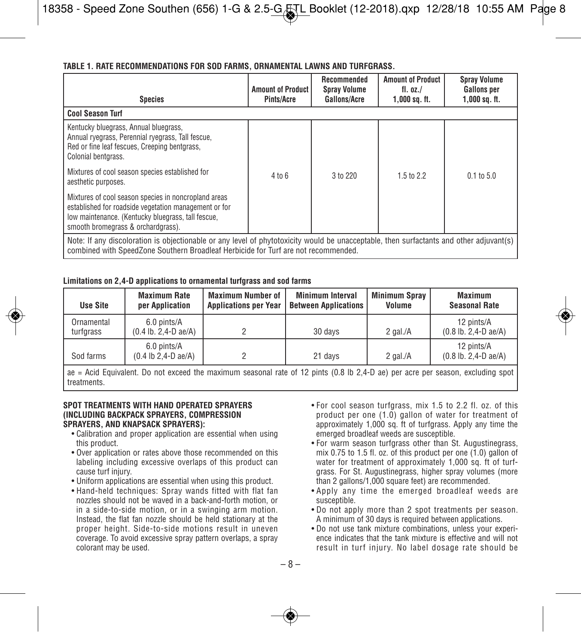#### **TABLE 1. RATE RECOMMENDATIONS FOR SOD FARMS, ORNAMENTAL LAWNS AND TURFGRASS.**

| <b>Species</b>                                                                                                                                                                                            | <b>Amount of Product</b><br>Pints/Acre | Recommended<br><b>Spray Volume</b><br>Gallons/Acre | <b>Amount of Product</b><br>fl. $oz$ ./<br>1,000 sq. ft. | <b>Spray Volume</b><br><b>Gallons per</b><br>$1,000$ sq. ft. |
|-----------------------------------------------------------------------------------------------------------------------------------------------------------------------------------------------------------|----------------------------------------|----------------------------------------------------|----------------------------------------------------------|--------------------------------------------------------------|
| <b>Cool Season Turf</b>                                                                                                                                                                                   |                                        |                                                    |                                                          |                                                              |
| Kentucky bluegrass, Annual bluegrass,<br>Annual ryegrass, Perennial ryegrass, Tall fescue,<br>Red or fine leaf fescues. Creeping bentgrass.<br>Colonial bentgrass.                                        |                                        |                                                    |                                                          |                                                              |
| Mixtures of cool season species established for<br>aesthetic purposes.                                                                                                                                    | 4 to 6                                 | 3 to 220                                           | $1.5$ to $2.2$                                           | $0.1$ to $5.0$                                               |
| Mixtures of cool season species in noncropland areas<br>established for roadside vegetation management or for<br>low maintenance. (Kentucky bluegrass, tall fescue,<br>smooth bromegrass & orchardgrass). |                                        |                                                    |                                                          |                                                              |
| Note: If any discoloration is objectionable or any level of phytotoxicity would be unacceptable, then surfactants and other adjuvant(s)                                                                   |                                        |                                                    |                                                          |                                                              |

combined with SpeedZone Southern Broadleaf Herbicide for Turf are not recommended.

#### **Limitations on 2,4-D applications to ornamental turfgrass and sod farms**

| <b>Use Site</b>         | <b>Maximum Rate</b><br>per Application                            | <b>Maximum Number of</b><br><b>Applications per Year</b> | <b>Minimum Interval</b><br><b>Between Applications</b> | <b>Minimum Spray</b><br>Volume | <b>Maximum</b><br><b>Seasonal Rate</b> |
|-------------------------|-------------------------------------------------------------------|----------------------------------------------------------|--------------------------------------------------------|--------------------------------|----------------------------------------|
| Ornamental<br>turforass | 6.0 pints/A<br>$(0.4 \text{ lb. } 2,4 \text{ - } D \text{ ae}/A)$ |                                                          | 30 days                                                | $2$ gal./ $A$                  | 12 pints/A<br>$(0.8$ lb. $2,4-D$ ae/A) |
| Sod farms               | 6.0 pints/A<br>$(0.4 \text{ lb } 2, 4 \text{ - } D \text{ ae}/A)$ |                                                          | 21 days                                                | $2$ gal./ $A$                  | 12 pints/A<br>$(0.8$ lb. $2,4-D$ ae/A) |

ae = Acid Equivalent. Do not exceed the maximum seasonal rate of 12 pints (0.8 lb 2,4-D ae) per acre per season, excluding spot treatments.

#### **SPOT TREATMENTS WITH HAND OPERATED SPRAYERS (INCLUDING BACKPACK SPRAYERS, COMPRESSION SPRAYERS, AND KNAPSACK SPRAYERS):**

- Calibration and proper application are essential when using this product.
- Over application or rates above those recommended on this labeling including excessive overlaps of this product can cause turf injury.
- Uniform applications are essential when using this product.
- Hand-held techniques: Spray wands fitted with flat fan nozzles should not be waved in a back-and-forth motion, or in a side-to-side motion, or in a swinging arm motion. Instead, the flat fan nozzle should be held stationary at the proper height. Side-to-side motions result in uneven coverage. To avoid excessive spray pattern overlaps, a spray colorant may be used.
- For cool season turfgrass, mix 1.5 to 2.2 fl. oz. of this product per one (1.0) gallon of water for treatment of approximately 1,000 sq. ft of turfgrass. Apply any time the emerged broadleaf weeds are susceptible.
- For warm season turfgrass other than St. Augustinegrass, mix 0.75 to 1.5 fl. oz. of this product per one (1.0) gallon of water for treatment of approximately 1,000 sq. ft of turfgrass. For St. Augustinegrass, higher spray volumes (more than 2 gallons/1,000 square feet) are recommended.
- Apply any time the emerged broadleaf weeds are susceptible
- Do not apply more than 2 spot treatments per season. A minimum of 30 days is required between applications.
- Do not use tank mixture combinations, unless your experience indicates that the tank mixture is effective and will not result in turf injury. No label dosage rate should be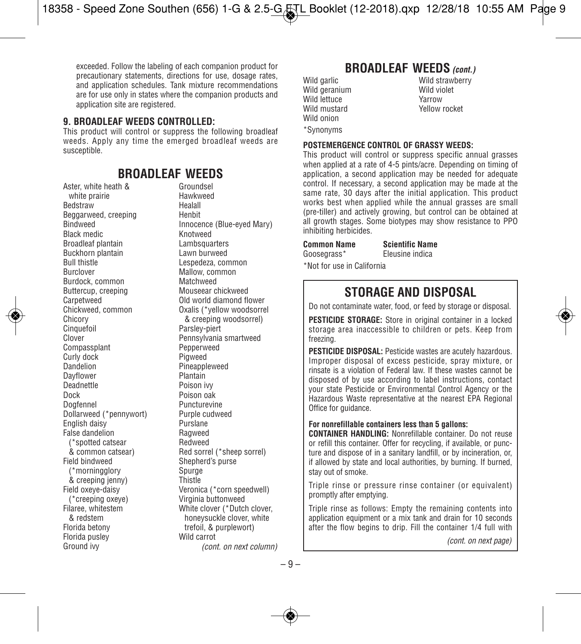exceeded. Follow the labeling of each companion product for precautionary statements, directions for use, dosage rates, and application schedules. Tank mixture recommendations are for use only in states where the companion products and application site are registered.

#### **9. BROADLEAF WEEDS CONTROLLED:**

This product will control or suppress the following broadleaf weeds. Apply any time the emerged broadleaf weeds are susceptible.

### **BROADLEAF WEEDS**

Aster, white heath & white prairie Bedstraw Beggarweed, creeping **Bindweed** Black medic Broadleaf plantain Buckhorn plantain Bull thistle Burclover Burdock, common Buttercup, creeping **Carpetweed** Chickweed, common Chicory **Cinquefoil** Clover Compassplant Curly dock Dandelion Dayflower Deadnettle Dock Dogfennel Dollarweed (\*pennywort) English daisy False dandelion (\*spotted catsear & common catsear) Field bindweed (\*morningglory  $\&$  creeping jenny) Field oxeve-daisy (\*creeping oxeye) Filaree, whitestem & redstem Florida betony Florida pusley Ground ivy

Groundsel Hawkweed Healall Henbit Innocence (Blue-eyed Mary) Knotweed **Lambsquarters** Lawn burweed Lespedeza, common Mallow, common Matchweed Mouseear chickweed Old world diamond flower Oxalis (\*yellow woodsorrel & creeping woodsorrel) Parsley-piert Pennsylvania smartweed Pepperweed Pigweed **Pineappleweed** Plantain Poison ivy Poison oak Puncturevine Purple cudweed Purslane Ragweed Redweed Red sorrel (\*sheep sorrel) Shepherd's purse **Spurge Thistle** Veronica (\*corn speedwell) Virginia buttonweed White clover (\*Dutch clover, honeysuckle clover, white trefoil, & purplewort) Wild carrot *(cont. on next column)* **BROADLEAF WEEDS** *(cont.)*

Wild garlic Wild geranium Wild lettuce Wild mustard Wild onion \*Synonyms

Wild strawberry Wild violet Yarrow Yellow rocket

#### **POSTEMERGENCE CONTROL OF GRASSY WEEDS:**

This product will control or suppress specific annual grasses when applied at a rate of 4-5 pints/acre. Depending on timing of application, a second application may be needed for adequate control. If necessary, a second application may be made at the same rate, 30 days after the initial application. This product works best when applied while the annual grasses are small (pre-tiller) and actively growing, but control can be obtained at all growth stages. Some biotypes may show resistance to PPO inhibiting herbicides.

**Common Name Scientific Name** Goosegrass\* Eleusine indica \*Not for use in California

## **STORAGE AND DISPOSAL**

#### Do not contaminate water, food, or feed by storage or disposal.

**PESTICIDE STORAGE:** Store in original container in a locked storage area inaccessible to children or pets. Keep from freezing.

**PESTICIDE DISPOSAL:** Pesticide wastes are acutely hazardous. Improper disposal of excess pesticide, spray mixture, or rinsate is a violation of Federal law. If these wastes cannot be disposed of by use according to label instructions, contact your state Pesticide or Environmental Control Agency or the Hazardous Waste representative at the nearest EPA Regional Office for guidance.

#### **For nonrefillable containers less than 5 gallons:**

**CONTAINER HANDLING:** Nonrefillable container. Do not reuse or refill this container. Offer for recycling, if available, or puncture and dispose of in a sanitary landfill, or by incineration, or, if allowed by state and local authorities, by burning. If burned, stay out of smoke.

Triple rinse or pressure rinse container (or equivalent) promptly after emptying.

Triple rinse as follows: Empty the remaining contents into application equipment or a mix tank and drain for 10 seconds after the flow begins to drip. Fill the container 1/4 full with

*(cont. on next page)*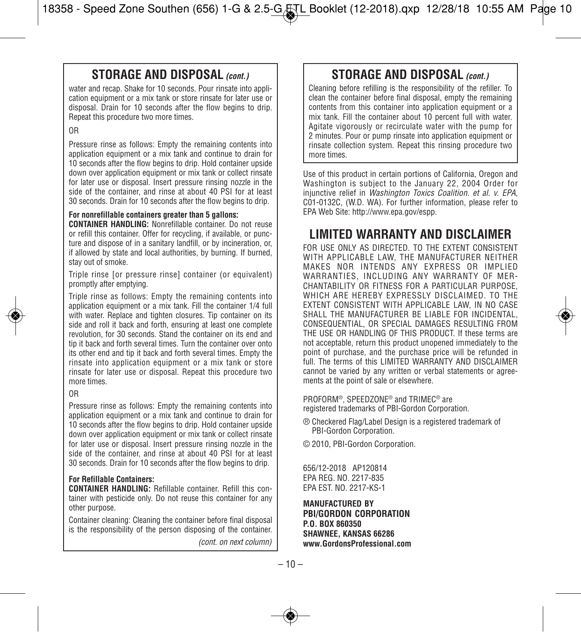water and recap. Shake for 10 seconds. Pour rinsate into application equipment or a mix tank or store rinsate for later use or disposal. Drain for 10 seconds after the flow begins to drip. Repeat this procedure two more times.

#### OR

Pressure rinse as follows: Empty the remaining contents into application equipment or a mix tank and continue to drain for 10 seconds after the flow begins to drip. Hold container upside down over application equipment or mix tank or collect rinsate for later use or disposal. Insert pressure rinsing nozzle in the side of the container, and rinse at about 40 PSI for at least 30 seconds. Drain for 10 seconds after the flow begins to drip.

#### **For nonrefillable containers greater than 5 gallons:**

**CONTAINER HANDLING:** Nonrefillable container. Do not reuse or refill this container. Offer for recycling, if available, or puncture and dispose of in a sanitary landfill, or by incineration, or, if allowed by state and local authorities, by burning. If burned, stay out of smoke.

Triple rinse [or pressure rinse] container (or equivalent) promptly after emptying.

Triple rinse as follows: Empty the remaining contents into application equipment or a mix tank. Fill the container 1/4 full with water. Replace and tighten closures. Tip container on its side and roll it back and forth, ensuring at least one complete revolution, for 30 seconds. Stand the container on its end and tip it back and forth several times. Turn the container over onto its other end and tip it back and forth several times. Empty the rinsate into application equipment or a mix tank or store rinsate for later use or disposal. Repeat this procedure two more times.

#### OR

Pressure rinse as follows: Empty the remaining contents into application equipment or a mix tank and continue to drain for 10 seconds after the flow begins to drip. Hold container upside down over application equipment or mix tank or collect rinsate for later use or disposal. Insert pressure rinsing nozzle in the side of the container, and rinse at about 40 PSI for at least 30 seconds. Drain for 10 seconds after the flow begins to drip.

#### **For Refillable Containers:**

**CONTAINER HANDLING:** Refillable container. Refill this container with pesticide only. Do not reuse this container for any other purpose.

Container cleaning: Cleaning the container before final disposal is the responsibility of the person disposing of the container. *(cont. on next column)*

## **STORAGE AND DISPOSAL** *(cont.)* **STORAGE AND DISPOSAL** *(cont.)*

Cleaning before refilling is the responsibility of the refiller. To clean the container before final disposal, empty the remaining contents from this container into application equipment or a mix tank. Fill the container about 10 percent full with water. Agitate vigorously or recirculate water with the pump for 2 minutes. Pour or pump rinsate into application equipment or rinsate collection system. Repeat this rinsing procedure two more times.

Use of this product in certain portions of California, Oregon and Washington is subject to the January 22, 2004 Order for injunctive relief in *Washington Toxics Coalition. et al. v. EPA*, C01-0132C, (W.D. WA). For further information, please refer to EPA Web Site: http://www.epa.gov/espp.

## **LIMITED WARRANTY AND DISCLAIMER**

FOR USE ONLY AS DIRECTED. TO THE EXTENT CONSISTENT WITH APPLICABLE LAW, THE MANUFACTURER NEITHER MAKES NOR INTENDS ANY EXPRESS OR IMPLIED WARRANTIES, INCLUDING ANY WARRANTY OF MER-CHANTABILITY OR FITNESS FOR A PARTICULAR PURPOSE, WHICH ARE HEREBY EXPRESSLY DISCLAIMED. TO THE EXTENT CONSISTENT WITH APPLICABLE LAW, IN NO CASE SHALL THE MANUFACTURER BE LIABLE FOR INCIDENTAL. CONSEQUENTIAL, OR SPECIAL DAMAGES RESULTING FROM THE USE OR HANDLING OF THIS PRODUCT. If these terms are not acceptable, return this product unopened immediately to the point of purchase, and the purchase price will be refunded in full. The terms of this LIMITED WARRANTY AND DISCLAIMER cannot be varied by any written or verbal statements or agreements at the point of sale or elsewhere.

PROFORM®, SPEEDZONE® and TRIMEC® are registered trademarks of PBI-Gordon Corporation.

- ® Checkered Flag/Label Design is a registered trademark of PBI-Gordon Corporation.
- © 2010, PBI-Gordon Corporation.

656/12-2018 AP120814 EPA REG. NO. 2217-835 EPA EST. NO. 2217-KS-1

**MANUFACTURED BY PBI/GORDON CORPORATION P.O. BOX 860350 SHAWNEE, KANSAS 66286 www.GordonsProfessional.com**